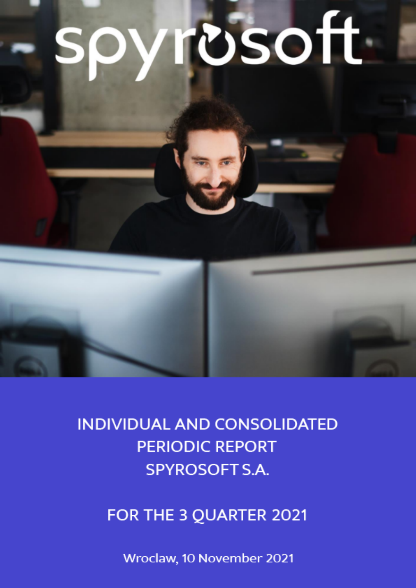# **rosoft**



FOR THE 3 QUARTER 2021

Wroclaw, 10 November 2021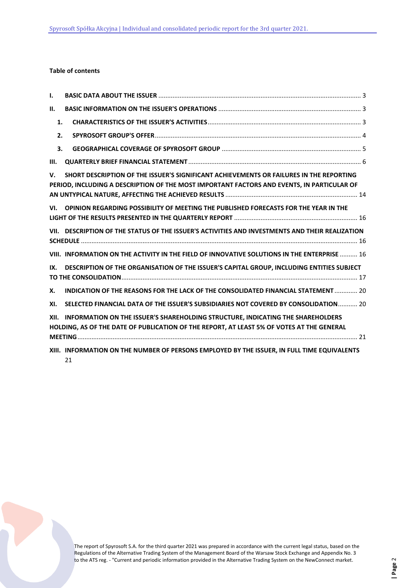# **Table of contents**

| ı.   |                                                                                                                                                                                       |  |
|------|---------------------------------------------------------------------------------------------------------------------------------------------------------------------------------------|--|
| П.   |                                                                                                                                                                                       |  |
| 1.   |                                                                                                                                                                                       |  |
| 2.   |                                                                                                                                                                                       |  |
| 3.   |                                                                                                                                                                                       |  |
| III. |                                                                                                                                                                                       |  |
| v.   | SHORT DESCRIPTION OF THE ISSUER'S SIGNIFICANT ACHIEVEMENTS OR FAILURES IN THE REPORTING<br>PERIOD, INCLUDING A DESCRIPTION OF THE MOST IMPORTANT FACTORS AND EVENTS, IN PARTICULAR OF |  |
| VI.  | OPINION REGARDING POSSIBILITY OF MEETING THE PUBLISHED FORECASTS FOR THE YEAR IN THE                                                                                                  |  |
|      | VII. DESCRIPTION OF THE STATUS OF THE ISSUER'S ACTIVITIES AND INVESTMENTS AND THEIR REALIZATION                                                                                       |  |
|      | VIII. INFORMATION ON THE ACTIVITY IN THE FIELD OF INNOVATIVE SOLUTIONS IN THE ENTERPRISE  16                                                                                          |  |
| IX.  | DESCRIPTION OF THE ORGANISATION OF THE ISSUER'S CAPITAL GROUP, INCLUDING ENTITIES SUBJECT                                                                                             |  |
| Х.   | INDICATION OF THE REASONS FOR THE LACK OF THE CONSOLIDATED FINANCIAL STATEMENT  20                                                                                                    |  |
| XI.  | SELECTED FINANCIAL DATA OF THE ISSUER'S SUBSIDIARIES NOT COVERED BY CONSOLIDATION 20                                                                                                  |  |
| XII. | INFORMATION ON THE ISSUER'S SHAREHOLDING STRUCTURE, INDICATING THE SHAREHOLDERS<br>HOLDING, AS OF THE DATE OF PUBLICATION OF THE REPORT, AT LEAST 5% OF VOTES AT THE GENERAL          |  |
|      | XIII. INFORMATION ON THE NUMBER OF PERSONS EMPLOYED BY THE ISSUER, IN FULL TIME EQUIVALENTS<br>21                                                                                     |  |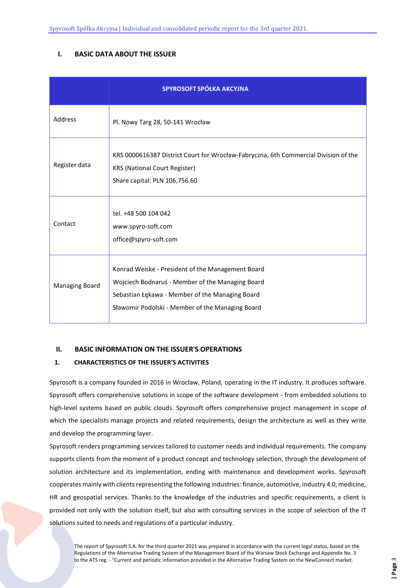# <span id="page-2-0"></span>**I. BASIC DATA ABOUT THE ISSUER**

|                | SPYROSOFT SPÓŁKA AKCYJNA                                                                                                                                                                                     |
|----------------|--------------------------------------------------------------------------------------------------------------------------------------------------------------------------------------------------------------|
| Address        | Pl. Nowy Targ 28, 50-141 Wrocław                                                                                                                                                                             |
| Register data  | KRS 0000616387 District Court for Wrocław-Fabryczna, 6th Commercial Division of the<br><b>KRS (National Court Register)</b><br>Share capital: PLN 106,756.60                                                 |
| Contact        | tel. +48 500 104 042<br>www.spyro-soft.com<br>office@spyro-soft.com                                                                                                                                          |
| Managing Board | Konrad Weiske - President of the Management Board<br>Wojciech Bodnaruś - Member of the Managing Board<br>Sebastian Łękawa - Member of the Managing Board<br>Sławomir Podolski - Member of the Managing Board |

# <span id="page-2-1"></span>**II. BASIC INFORMATION ON THE ISSUER'S OPERATIONS**

# <span id="page-2-2"></span>**1. CHARACTERISTICS OF THE ISSUER'S ACTIVITIES**

Spyrosoft is a company founded in 2016 in Wrocław, Poland, operating in the IT industry. It produces software. Spyrosoft offers comprehensive solutions in scope of the software development - from embedded solutions to high-level systems based on public clouds. Spyrosoft offers comprehensive project management in scope of which the specialists manage projects and related requirements, design the architecture as well as they write and develop the programming layer.

Spyrosoft renders programming services tailored to customer needs and individual requirements. The company supports clients from the moment of a product concept and technology selection, through the development of solution architecture and its implementation, ending with maintenance and development works. Spyrosoft cooperates mainly with clients representing the following industries: finance, automotive, industry 4.0, medicine, HR and geospatial services. Thanks to the knowledge of the industries and specific requirements, a client is provided not only with the solution itself, but also with consulting services in the scope of selection of the IT solutions suited to needs and regulations of a particular industry.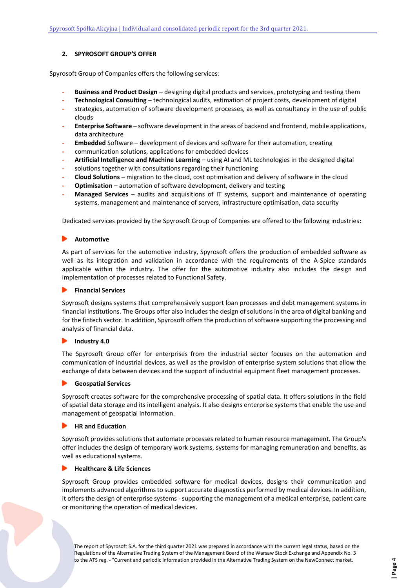# <span id="page-3-0"></span>**2. SPYROSOFT GROUP'S OFFER**

Spyrosoft Group of Companies offers the following services:

- **- Business and Product Design**  designing digital products and services, prototyping and testing them
- **- Technological Consulting**  technological audits, estimation of project costs, development of digital
- **-** strategies, automation of software development processes, as well as consultancy in the use of public clouds
- **- Enterprise Software**  software development in the areas of backend and frontend, mobile applications, data architecture
- **- Embedded** Software development of devices and software for their automation, creating
- **-** communication solutions, applications for embedded devices
- **- Artificial Intelligence and Machine Learning**  using AI and ML technologies in the designed digital
- **-** solutions together with consultations regarding their functioning
- **- Cloud Solutions** migration to the cloud, cost optimisation and delivery of software in the cloud
- **- Optimisation**  automation of software development, delivery and testing
- **- Managed Services**  audits and acquisitions of IT systems, support and maintenance of operating systems, management and maintenance of servers, infrastructure optimisation, data security

Dedicated services provided by the Spyrosoft Group of Companies are offered to the following industries:

### **Automotive**

As part of services for the automotive industry, Spyrosoft offers the production of embedded software as well as its integration and validation in accordance with the requirements of the A-Spice standards applicable within the industry. The offer for the automotive industry also includes the design and implementation of processes related to Functional Safety.

### **Financial Services**

Spyrosoft designs systems that comprehensively support loan processes and debt management systems in financial institutions. The Groups offer also includes the design of solutions in the area of digital banking and for the fintech sector. In addition, Spyrosoft offers the production of software supporting the processing and analysis of financial data.

### **Industry 4.0**  $\blacktriangleright$

The Spyrosoft Group offer for enterprises from the industrial sector focuses on the automation and communication of industrial devices, as well as the provision of enterprise system solutions that allow the exchange of data between devices and the support of industrial equipment fleet management processes.

## **Geospatial Services**

Spyrosoft creates software for the comprehensive processing of spatial data. It offers solutions in the field of spatial data storage and its intelligent analysis. It also designs enterprise systems that enable the use and management of geospatial information.

### **HR and Education**

Spyrosoft provides solutions that automate processes related to human resource management. The Group's offer includes the design of temporary work systems, systems for managing remuneration and benefits, as well as educational systems.

### **Healthcare & Life Sciences**

Spyrosoft Group provides embedded software for medical devices, designs their communication and implements advanced algorithms to support accurate diagnostics performed by medical devices. In addition, it offers the design of enterprise systems - supporting the management of a medical enterprise, patient care or monitoring the operation of medical devices.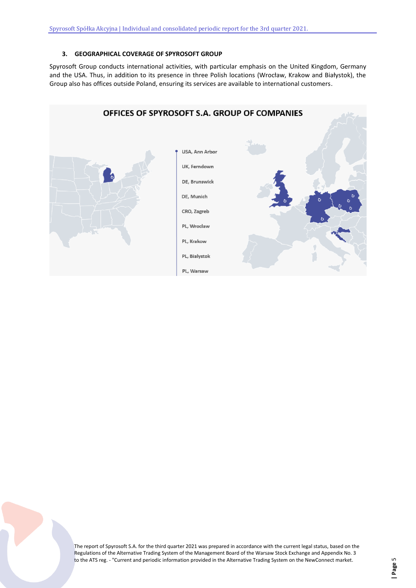# **3. GEOGRAPHICAL COVERAGE OF SPYROSOFT GROUP**

<span id="page-4-0"></span>Spyrosoft Group conducts international activities, with particular emphasis on the United Kingdom, Germany and the USA. Thus, in addition to its presence in three Polish locations (Wrocław, Krakow and Białystok), the Group also has offices outside Poland, ensuring its services are available to international customers.

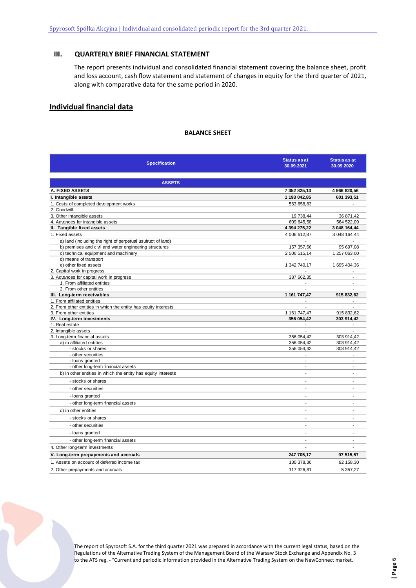# <span id="page-5-0"></span>**III. QUARTERLY BRIEF FINANCIAL STATEMENT**

The report presents individual and consolidated financial statement covering the balance sheet, profit and loss account, cash flow statement and statement of changes in equity for the third quarter of 2021, along with comparative data for the same period in 2020.

# **Individual financial data**

## **BALANCE SHEET**

| <b>Specification</b>                                            | Status as at<br>30.09.2021 | <b>Status as at</b><br>30.09.2020 |  |  |  |  |
|-----------------------------------------------------------------|----------------------------|-----------------------------------|--|--|--|--|
| <b>ASSETS</b>                                                   |                            |                                   |  |  |  |  |
| A. FIXED ASSETS                                                 | 7 352 825,13               | 4 966 820,56                      |  |  |  |  |
| I. Intangible assets                                            | 1 193 042,85               | 601 393,51                        |  |  |  |  |
| 1. Costs of completed development works                         | 563 658.83                 |                                   |  |  |  |  |
| 2. Goodwill                                                     |                            |                                   |  |  |  |  |
| 3. Other intangible assets                                      | 19 738,44                  | 36 871,42                         |  |  |  |  |
| 4. Advances for intangible assets                               | 609 645,58                 | 564 522,09                        |  |  |  |  |
| II. Tangible fixed assets                                       | 4 394 275,22               | 3 048 164,44                      |  |  |  |  |
| 1. Fixed assets                                                 | 4 006 612,87               | 3 048 164,44                      |  |  |  |  |
| a) land (including the right of perpetual usufruct of land)     |                            |                                   |  |  |  |  |
| b) premises and civil and water engineering structures          | 157 357,56                 | 95 697,08                         |  |  |  |  |
| c) technical equipment and machinery                            | 2 506 515,14               | 1 257 063,00                      |  |  |  |  |
| d) means of transport                                           | $\sim$                     | $\sim$                            |  |  |  |  |
| e) other fixed assets                                           | 1 342 740,17               | 1 695 404,36                      |  |  |  |  |
| 2. Capital work in progress                                     |                            |                                   |  |  |  |  |
| 3. Advances for capital work in progress                        | 387 662,35                 | $\overline{a}$                    |  |  |  |  |
| 1. From affiliated entities<br>2. From other entities           |                            | ÷,                                |  |  |  |  |
| III. Long-term receivables                                      | 1 161 747,47               | 915 832,62                        |  |  |  |  |
| 1. From affiliated entities                                     |                            |                                   |  |  |  |  |
| 2. From other entities in which the entity has equity interests | $\overline{a}$             | J.                                |  |  |  |  |
| 3. From other entities                                          | 1 161 747,47               | 915 832,62                        |  |  |  |  |
| IV. Long-term investments                                       | 356 054,42                 | 303 914,42                        |  |  |  |  |
| 1. Real estate                                                  |                            |                                   |  |  |  |  |
| 2. Intangible assets                                            |                            |                                   |  |  |  |  |
| 3. Long-term financial assets                                   | 356 054,42                 | 303 914,42                        |  |  |  |  |
| a) in affiliated entities                                       | 356 054,42                 | 303 914,42                        |  |  |  |  |
| - stocks or shares                                              | 356 054,42                 | 303 914,42                        |  |  |  |  |
| - other securities                                              |                            |                                   |  |  |  |  |
| - loans granted                                                 | $\overline{a}$             | L.                                |  |  |  |  |
| - other long-term financial assets                              | $\blacksquare$             | $\blacksquare$                    |  |  |  |  |
| b) in other entities in which the entity has equity interests   | $\overline{a}$             | ÷,                                |  |  |  |  |
| - stocks or shares                                              | ÷.                         | $\sim$                            |  |  |  |  |
| - other securities                                              | $\overline{a}$             | ä,                                |  |  |  |  |
| - loans granted                                                 | $\overline{a}$             | $\overline{a}$                    |  |  |  |  |
| - other long-term financial assets                              | $\overline{a}$             | $\overline{\phantom{a}}$          |  |  |  |  |
| c) in other entities                                            | $\overline{a}$             | L,                                |  |  |  |  |
| - stocks or shares                                              | ÷                          | ÷                                 |  |  |  |  |
| - other securities                                              | $\overline{a}$             |                                   |  |  |  |  |
| - loans granted                                                 | ٠                          | $\blacksquare$                    |  |  |  |  |
| - other long-term financial assets                              | ÷.                         | ÷,                                |  |  |  |  |
| 4. Other long-term investments                                  |                            |                                   |  |  |  |  |
| V. Long-term prepayments and accruals                           | 247 705,17                 | 97 515,57                         |  |  |  |  |
| 1. Assets on account of deferred income tax                     | 130 378,36                 | 92 158,30                         |  |  |  |  |
| 2. Other prepayments and accruals                               | 117 326.81                 | 5 357.27                          |  |  |  |  |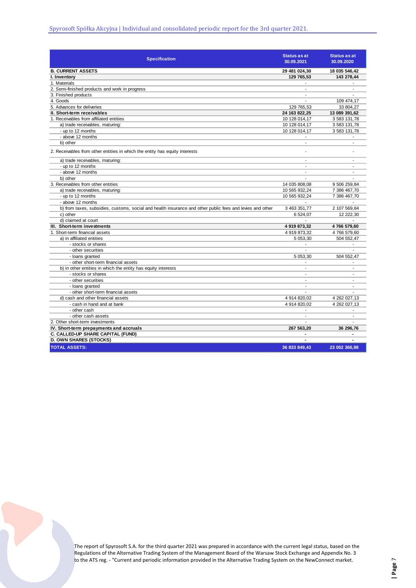| <b>Specification</b>                                                                                      | <b>Status as at</b><br>30.09.2021 | <b>Status as at</b><br>30.09.2020 |
|-----------------------------------------------------------------------------------------------------------|-----------------------------------|-----------------------------------|
| <b>B. CURRENT ASSETS</b>                                                                                  | 29 481 024,30                     | 18 035 546,42                     |
| I. Inventory                                                                                              | 129 765,53                        | 143 278,44                        |
| 1. Materials                                                                                              | $\overline{\phantom{a}}$          |                                   |
| 2. Semi-finished products and work in progress                                                            | $\blacksquare$                    | $\overline{a}$                    |
| 3. Finished products                                                                                      | $\overline{\phantom{a}}$          |                                   |
| 4. Goods                                                                                                  | ٠                                 | 109 474,17                        |
| 5. Advances for deliveries                                                                                | 129 765.53                        | 33 804.27                         |
| II. Short-term receivables                                                                                | 24 163 822.25                     | 13 089 391.62                     |
| 1. Receivables from affiliated entities                                                                   | 10 128 014,17                     | 3 583 131,78                      |
| a) trade receivables, maturing:                                                                           | 10 128 014,17                     | 3 583 131,78                      |
| - up to 12 months                                                                                         | 10 128 014,17                     | 3 583 131,78                      |
| - above 12 months                                                                                         |                                   |                                   |
| b) other                                                                                                  | $\blacksquare$                    | $\overline{a}$                    |
| 2. Receivables from other entities in which the entity has equity interests                               |                                   |                                   |
| a) trade receivables, maturing:                                                                           | $\overline{a}$                    |                                   |
| - up to 12 months                                                                                         | $\blacksquare$                    | ÷.                                |
| - above 12 months                                                                                         | $\overline{a}$                    |                                   |
| b) other                                                                                                  |                                   |                                   |
| 3. Receivables from other entities                                                                        | 14 035 808,08                     | 9 506 259,84                      |
| a) trade receivables, maturing:                                                                           | 10 565 932,24                     | 7 386 467,70                      |
| - up to 12 months                                                                                         | 10 565 932,24                     | 7 386 467,70                      |
| - above 12 months                                                                                         |                                   |                                   |
| b) from taxes, subsidies, customs, social and health insurance and other public fees and levies and other | 3 463 351,77                      | 2 107 569,84                      |
| c) other                                                                                                  | 6 524,07                          | 12 222,30                         |
| d) claimed at court                                                                                       |                                   |                                   |
| III. Short-term investments                                                                               | 4 919 873,32                      | 4766 579,60                       |
| 1. Short-term financial assets                                                                            | 4 919 873,32                      | 4766 579,60                       |
| a) in affiliated entities                                                                                 | 5 053,30                          | 504 552,47                        |
| - stocks or shares                                                                                        |                                   |                                   |
| - other securities                                                                                        | ÷,                                |                                   |
| - loans granted                                                                                           | 5 053,30                          | 504 552,47                        |
| - other short-term financial assets                                                                       | $\overline{\phantom{a}}$          |                                   |
| b) in other entities in which the entity has equity interests                                             | ÷.                                | ÷,                                |
| - stocks or shares                                                                                        | $\blacksquare$                    | $\overline{a}$                    |
| - other securities                                                                                        | ÷,                                | ÷                                 |
| - loans granted                                                                                           | ÷,                                | $\sim$                            |
| - other short-term financial assets                                                                       | ÷.                                |                                   |
| d) cash and other financial assets                                                                        | 4 914 820,02                      | 4 262 027,13                      |
| - cash in hand and at bank                                                                                | 4 914 820,02                      | 4 262 027,13                      |
| - other cash                                                                                              | ٠                                 |                                   |
| - other cash assets                                                                                       | $\overline{\phantom{a}}$          | $\overline{\phantom{a}}$          |
| 2. Other short-term investments                                                                           | ٠                                 |                                   |
| IV. Short-term prepayments and accruals                                                                   | 267 563,20                        | 36 296,76                         |
| C. CALLED-UP SHARE CAPITAL (FUND)                                                                         | ٠                                 |                                   |
| <b>D. OWN SHARES (STOCKS)</b>                                                                             | $\blacksquare$                    |                                   |
| <b>TOTAL ASSETS:</b>                                                                                      | 36 833 849,43                     | 23 002 366,98                     |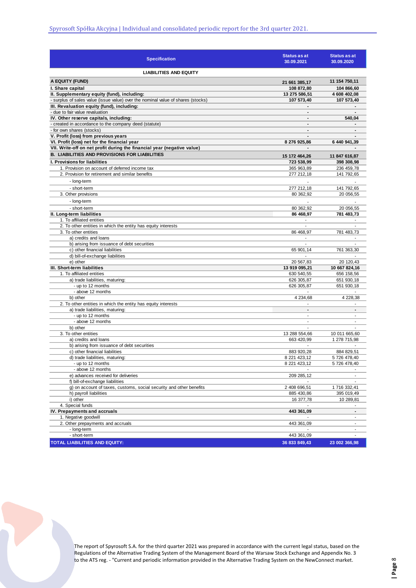| <b>Specification</b>                                                                   | <b>Status as at</b><br>30.09.2021 | Status as at<br>30.09.2020 |
|----------------------------------------------------------------------------------------|-----------------------------------|----------------------------|
| <b>LIABILITIES AND EQUITY</b>                                                          |                                   |                            |
| A EQUITY (FUND)                                                                        | 21 661 385,17                     | 11 154 750,11              |
| I. Share capital                                                                       | 108 872,80                        | 104 866.60                 |
| II. Supplementary equity (fund), including:                                            | 13 275 586,51                     | 4 608 402,08               |
| - surplus of sales value (issue value) over the nominal value of shares (stocks)       | 107 573,40                        | 107 573.40                 |
| III. Revaluation equity (fund), including:                                             |                                   |                            |
| - due to fair value revaluation                                                        | $\overline{\phantom{a}}$          | $\blacksquare$             |
| IV. Other reserve capitals, including:                                                 | $\blacksquare$                    | 540,04                     |
| - created in accordance to the company deed (statute)                                  | $\blacksquare$                    |                            |
| - for own shares (stocks)<br>V. Profit (loss) from previous years                      | $\overline{\phantom{a}}$          |                            |
| VI. Profit (loss) net for the financial year                                           | 8 276 925,86                      | 6 440 941,39               |
| VII. Write-off on net profit during the financial year (negative value)                |                                   |                            |
| <b>B. LIABILITIES AND PROVISIONS FOR LIABILITIES</b>                                   |                                   |                            |
|                                                                                        | 15 172 464,26                     | 11 847 616,87              |
| <b>I. Provisions for liabilities</b><br>1. Provision on account of deferred income tax | 723 538,99                        | 398 308,98                 |
| 2. Provision for retirement and similar benefits                                       | 365 963,89<br>277 212,18          | 236 459,78<br>141 792,65   |
|                                                                                        |                                   |                            |
| - long-term                                                                            |                                   |                            |
| - short-term                                                                           | 277 212,18                        | 141 792,65                 |
| 3. Other provisions                                                                    | 80 362,92                         | 20 056.55                  |
| - long-term                                                                            | ÷,                                |                            |
| - short-term                                                                           | 80 362,92                         | 20 056,55                  |
| II. Long-term liabilities                                                              | 86 468,97                         | 781 483,73                 |
| 1. To affiliated entities                                                              |                                   |                            |
| 2. To other entities in which the entity has equity interests                          | ÷.                                | ÷.                         |
| 3. To other entities                                                                   | 86 468,97                         | 781 483,73                 |
| a) credits and loans<br>b) arising from issuance of debt securities                    | $\overline{a}$                    | $\blacksquare$             |
| c) other financial liabilities                                                         | 65 901,14                         | 761 363,30                 |
| d) bill-of-exchange liabilities                                                        |                                   |                            |
| e) other                                                                               | 20 567,83                         | 20 120,43                  |
| III. Short-term liabilities                                                            | 13 919 095,21                     | 10 667 824,16              |
| 1. To affiliated entities                                                              | 630 540,55                        | 656 158,56                 |
| a) trade liabilities, maturing:                                                        | 626 305,87                        | 651 930,18                 |
| - up to 12 months                                                                      | 626 305,87                        | 651 930,18                 |
| - above 12 months                                                                      | $\blacksquare$                    |                            |
| b) other                                                                               | 4 234,68                          | 4 228,38                   |
| 2. To other entities in which the entity has equity interests                          |                                   |                            |
| a) trade liabilities, maturing:                                                        | $\blacksquare$                    | $\blacksquare$             |
| - up to 12 months                                                                      | $\overline{\phantom{a}}$          | $\sim$                     |
| - above 12 months                                                                      |                                   | $\overline{a}$             |
| b) other                                                                               | $\blacksquare$                    |                            |
| 3. To other entities                                                                   | 13 288 554,66                     | 10 011 665,60              |
| a) credits and loans<br>b) arising from issuance of debt securities                    | 663 420,99                        | 1 278 715,98               |
| c) other financial liabilities                                                         | 883 920,28                        | 884 829,51                 |
| d) trade liabilities, maturing:                                                        | 8 221 423 12                      | 5726478,40                 |
| - up to 12 months                                                                      | 8 221 423,12                      | 5 726 478,40               |
| - above 12 months                                                                      |                                   |                            |
| e) advances received for deliveries                                                    | 209 285,12                        |                            |
| f) bill-of-exchange liabilities                                                        |                                   |                            |
| g) on account of taxes, customs, social security and other benefits                    | 2 408 696,51                      | 1716 332,41                |
| h) payroll liabilities                                                                 | 885 430,86                        | 395 019,49                 |
| i) other                                                                               | 16 377,78                         | 10 289,81                  |
| 4. Special funds                                                                       |                                   |                            |
| IV. Prepayments and accruals                                                           | 443 361,09                        | $\blacksquare$             |
| 1. Negative goodwill                                                                   |                                   | ٠                          |
| 2. Other prepayments and accruals                                                      | 443 361,09                        | $\overline{\phantom{a}}$   |
| - long-term                                                                            |                                   | ÷                          |
| - short-term                                                                           | 443 361,09                        |                            |
| TOTAL LIABILITIES AND EQUITY:                                                          | 36 833 849,43                     | 23 002 366,98              |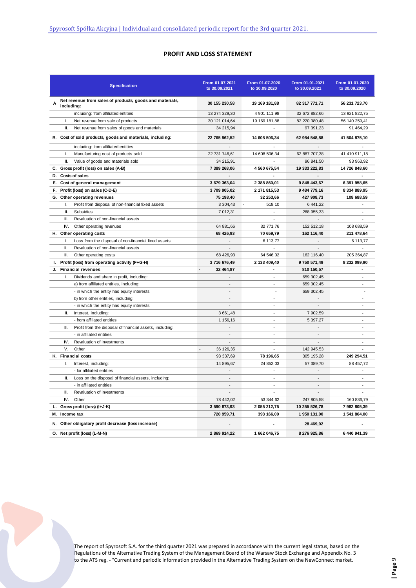# **PROFIT AND LOSS STATEMENT**

|    |               | <b>Specification</b>                                      | From 01.07.2021<br>to 30.09.2021      | From 01.07.2020<br>to 30.09.2020 | From 01.01.2021<br>to 30.09.2021 | From 01.01.2020<br>to 30.09.2020 |
|----|---------------|-----------------------------------------------------------|---------------------------------------|----------------------------------|----------------------------------|----------------------------------|
| Α  | including:    | Net revenue from sales of products, goods and materials,  | 30 155 230,58                         | 19 169 181,88                    | 82 317 771,71                    | 56 231 723,70                    |
|    |               | including: from affiliated entities                       | 13 274 329,30                         | 4 901 111,98                     | 32 672 882,66                    | 13 921 822,75                    |
|    | I.            | Net revenue from sale of products                         | 30 121 014,64                         | 19 169 181,88                    | 82 220 380,48                    | 56 140 259,41                    |
|    | Ш.            | Net revenue from sales of goods and materials             | 34 215,94                             |                                  | 97 391,23                        | 91 464,29                        |
|    |               | B. Cost of sold products, goods and materials, including: | 22 765 962,52                         | 14 608 506,34                    | 62 984 548,88                    | 41 504 875,10                    |
|    |               | including: from affiliated entities                       | $\overline{a}$                        | $\overline{\phantom{a}}$         | $\overline{a}$                   |                                  |
|    | $\mathbf{L}$  | Manufacturing cost of products sold                       | 22 731 746,61                         | 14 608 506,34                    | 62 887 707,38                    | 41 410 911,18                    |
|    | Ш.            | Value of goods and materials sold                         | 34 215,91                             |                                  | 96 841,50                        | 93 963,92                        |
|    |               | C. Gross profit (loss) on sales (A-B)                     | 7 389 268,06                          | 4 560 675,54                     | 19 333 222,83                    | 14 726 848,60                    |
| D. |               | Costs of sales                                            | $\blacksquare$                        | ٠                                | $\blacksquare$                   |                                  |
|    |               | E. Cost of general management                             | 3 679 363,04                          | 2 388 860,01                     | 9 848 443,67                     | 6 391 958,65                     |
| F. |               | Profit (loss) on sales (C-D-E)                            | 3709 905,02                           | 2 171 815,53                     | 9 484 779,16                     | 8 334 889,95                     |
|    |               | G. Other operating revenues                               | 75 198,40                             | 32 253,66                        | 427 908,73                       | 108 688,59                       |
|    | L.            | Profit from disposal of non-financial fixed assets        | 3 304,43                              | 518,10                           | 6 441,22                         |                                  |
|    | Ш.            | Subsidies                                                 | 7 012,31                              | $\overline{a}$                   | 268 955.33                       | $\blacksquare$                   |
|    | III.          | Revaluation of non-financial assets                       |                                       |                                  |                                  |                                  |
|    | IV.           | Other operating revenues                                  | 64 881,66                             | 32 771,76                        | 152 512,18                       | 108 688,59                       |
| н. |               | Other operating costs                                     | 68 426,93                             | 70 659,79                        | 162 116,40                       | 211 478,64                       |
|    | I.            | Loss from the disposal of non-financial fixed assets      | $\overline{\phantom{a}}$              | 6 113,77                         | $\overline{\phantom{a}}$         | 6 113,77                         |
|    | Ш.            | Revaluation of non-financial assets                       |                                       |                                  |                                  |                                  |
|    | III.          | Other operating costs                                     | 68 426,93                             | 64 546,02                        | 162 116,40                       | 205 364,87                       |
| ı. |               | Profit (loss) from operating activity (F+G-H)             | 3716 676,49                           | 2 133 409,40                     | 9750 571,49                      | 8 232 099,90                     |
| J. |               | <b>Financial revenues</b>                                 | $\overline{\phantom{a}}$<br>32 464,87 | ٠                                | 810 150,57                       | $\blacksquare$                   |
|    | I.            | Dividends and share in profit, including:                 |                                       |                                  | 659 302,45                       |                                  |
|    |               | a) from affiliated entities, including:                   | $\blacksquare$                        | $\overline{\phantom{a}}$         | 659 302,45                       | $\blacksquare$                   |
|    |               | - in which the entity has equity interests                | $\overline{a}$                        | $\overline{\phantom{a}}$         | 659 302,45                       | $\overline{\phantom{a}}$         |
|    |               | b) from other entities, including:                        | $\blacksquare$                        | ÷,                               |                                  | $\blacksquare$                   |
|    |               | - in which the entity has equity interests                |                                       |                                  |                                  |                                  |
|    | Ш.            | Interest, including:                                      | 3 661,48                              | ÷                                | 7 902,59                         | $\overline{\phantom{a}}$         |
|    |               | - from affiliated entities                                | 1 156,16                              |                                  | 5 397,27                         |                                  |
|    | III.          | Profit from the disposal of financial assets, including:  |                                       | ÷,                               |                                  | $\overline{\phantom{a}}$         |
|    |               | - in affiliated entities                                  |                                       |                                  |                                  |                                  |
|    | IV.           | Revaluation of investments                                |                                       | ÷,                               |                                  | $\blacksquare$                   |
|    | V.            | Other                                                     | $\overline{\phantom{a}}$<br>36 126,35 |                                  | 142 945,53                       |                                  |
|    |               | K. Financial costs                                        | 93 337,69                             | 78 196,65                        | 305 195,28                       | 249 294,51                       |
|    | Τ.            | Interest, including:                                      | 14 895,67                             | 24 852,03                        | 57 389,70                        | 88 457,72                        |
|    |               | - for affiliated entities                                 |                                       |                                  |                                  | $\overline{\phantom{a}}$         |
|    | II.           | Loss on the disposal of financial assets, including:      |                                       | $\overline{a}$                   |                                  |                                  |
|    |               | - in affiliated entities                                  | $\overline{a}$                        | $\overline{a}$                   | $\overline{a}$                   | $\overline{a}$                   |
|    | III.          | Revaluation of investments                                |                                       |                                  |                                  |                                  |
|    | IV.           | Other                                                     | 78 442,02                             | 53 344,62                        | 247 805,58                       | 160 836,79                       |
| L. |               | Gross profit (loss) (I+J-K)                               | 3 590 873,93                          | 2 055 212,75                     | 10 255 526,78                    | 7 982 805,39                     |
|    | M. Income tax |                                                           | 720 959,71                            | 393 166,00                       | 1 950 131,00                     | 1 541 864,00                     |
| N. |               | Other obligatory profit decrease (loss increase)          |                                       |                                  | 28 469,92                        |                                  |
|    |               | O. Net profit (loss) (L-M-N)                              | 2 869 914,22                          | 1 662 046,75                     | 8 276 925,86                     | 6 440 941,39                     |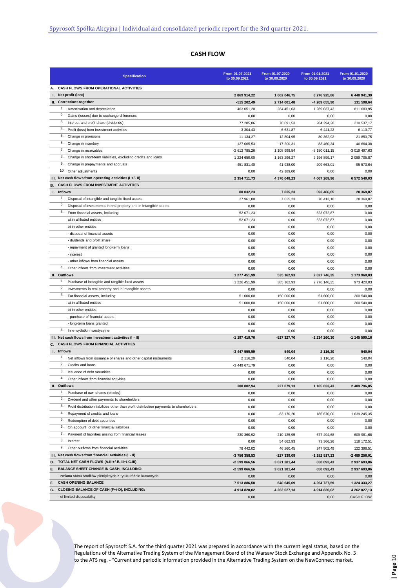# **CASH FLOW**

| <b>Specification</b>                                                                                                            | From 01.07.2021<br>to 30.09.2021 | From 01.07.2020<br>to 30.09.2020 | From 01.01.2021<br>to 30.09.2021 | From 01.01.2020<br>to 30.09.2020 |
|---------------------------------------------------------------------------------------------------------------------------------|----------------------------------|----------------------------------|----------------------------------|----------------------------------|
| CASH FLOWS FROM OPERATIONAL ACTIVITIES<br>А.                                                                                    |                                  |                                  |                                  |                                  |
| I. Net profit (loss)                                                                                                            | 2 869 914,22                     | 1 662 046,75                     | 8 276 925,86                     | 6 440 941,39                     |
| II. Corrections together                                                                                                        | -515 202,49                      | 2 714 001,48                     | -4 209 655,90                    | 131 598,64                       |
| 1.<br>Amortisation and depreciation                                                                                             | 463 051,20                       | 284 451,63                       | 1 289 037,43                     | 811 683,95                       |
| 2.<br>Gains (losses) due to exchange differences                                                                                | 0,00                             | 0,00                             | 0,00                             | 0,00                             |
| 3.<br>Interest and profit share (dividends)                                                                                     | 77 285,86                        | 70 891,53                        | 284 294,28                       | 210 537,17                       |
| 4.<br>Profit (loss) from investment activities                                                                                  | $-3304.43$                       | 6 631,87                         | $-6441,22$                       | 6 113,77                         |
| 5.<br>Change in provisions<br>6.                                                                                                | 11 134,27                        | 12 804,95                        | 80 362,92                        | $-21853,75$                      |
| Change in inventory<br>7.                                                                                                       | $-127065,53$                     | $-17200,31$                      | $-83460,34$                      | -40 664,38                       |
| Change in receivables<br>8.                                                                                                     | -2 612 785,26                    | 1 108 998,54                     | -8 180 011,15                    | -3 019 497,63                    |
| Change in short-term liabilities, excluding credits and loans<br>9.<br>Change in prepayments and accruals                       | 1 224 650,00                     | 1 163 296,27                     | 2 196 899,17                     | 2 089 705,87                     |
| 10. Other adjustments                                                                                                           | 451 831,40<br>0,00               | 41 938,00                        | 209 663,01<br>0,00               | 95 573,64                        |
| III. Net cash flows from operating activities (I +/- II)                                                                        | 2 354 711,73                     | 42 189,00<br>4 376 048,23        | 4 067 269,96                     | 0,00<br>6 572 540,03             |
| CASH FLOWS FROM INVESTMENT ACTIVITIES<br>В.                                                                                     |                                  |                                  |                                  |                                  |
| I. Inflows                                                                                                                      | 80 032,23                        | 7835,23                          | 593 486,05                       | 28 369,87                        |
| 1. Disposal of intangible and tangible fixed assets                                                                             | 27 961,00                        | 7835,23                          | 70 413,18                        | 28 369,87                        |
| 2.<br>Disposal of investments in real property and in intangible assets                                                         | 0,00                             | 0,00                             | 0,00                             | 0,00                             |
| 3.<br>From financial assets, including:                                                                                         | 52 071,23                        | 0,00                             | 523 072,87                       | 0,00                             |
| a) in affiliated entities                                                                                                       | 52 071,23                        | 0,00                             | 523 072,87                       | 0,00                             |
| b) in other entities                                                                                                            | 0,00                             | 0,00                             | 0,00                             | 0,00                             |
| - disposal of financial assets                                                                                                  | 0,00                             | 0,00                             | 0,00                             | 0,00                             |
| - dividends and profit share                                                                                                    | 0,00                             | 0,00                             | 0,00                             | 0,00                             |
| - repayment of granted long-term loans                                                                                          | 0,00                             | 0,00                             | 0,00                             | 0,00                             |
| - interest                                                                                                                      | 0,00                             | 0,00                             | 0,00                             | 0,00                             |
| - other inflows from financial assets                                                                                           | 0,00                             | 0,00                             | 0,00                             | 0,00                             |
| 4.<br>Other inflows from investment activities                                                                                  | 0,00                             | 0,00                             | 0,00                             | 0,00                             |
| II. Outflows                                                                                                                    | 1 277 451,99                     | 535 162,93                       | 2 827 746,35                     | 1 173 960,03                     |
| 1.<br>Purchase of intangible and tangible fixed assets                                                                          | 1 226 451,99                     | 385 162,93                       | 2 776 146,35                     | 973 420,03                       |
| 2.<br>investments in real property and in intangible assets                                                                     | 0,00                             | 0,00                             | 0,00                             | 0,00                             |
| 3.<br>For financial assets, including:                                                                                          | 51 000,00                        | 150 000,00                       | 51 600,00                        | 200 540,00                       |
| a) in affiliated entities                                                                                                       | 51 000,00                        | 150 000,00                       | 51 600,00                        | 200 540,00                       |
| b) in other entities                                                                                                            | 0,00                             | 0,00                             | 0,00                             | 0,00                             |
| - purchase of financial assets                                                                                                  | 0,00                             | 0,00                             | 0,00                             | 0,00                             |
| - long-term loans granted                                                                                                       | 0,00                             | 0,00                             | 0,00                             | 0,00                             |
| 4.<br>Inne wydatki inwestycyjne                                                                                                 | 0,00                             | 0,00                             | 0,00                             | 0,00                             |
| III. Net cash flows from investment activities (I - II)                                                                         | -1 197 419,76                    | -527 327,70                      | -2 234 260,30                    | -1 145 590.16                    |
| CASH FLOWS FROM FINANCIAL ACTIVITIES<br>C.                                                                                      |                                  |                                  |                                  |                                  |
| I. Inflows                                                                                                                      | -3 447 555,59                    | 540,04                           | 2 116,20                         | 540,04                           |
| 1. Net inflows from issuance of shares and other capital instruments                                                            | 2 116,20                         | 540,04                           | 2 116,20                         | 540,04                           |
| 2.<br>Credits and loans                                                                                                         | -3 449 671,79                    | 0,00                             | 0,00                             | 0,00                             |
| 3.<br>Issuance of debt securities                                                                                               | 0,00                             | 0,00                             | 0,00                             | 0,00                             |
| 4.<br>Other inflows from financial activities                                                                                   | 0,00                             | 0,00                             | 0,00                             | 0,00                             |
| II. Outflows                                                                                                                    | 308 802,94                       | 227 879,13                       | 1 185 033,43                     | 2 489 796,05                     |
| 1.<br>Purchase of own shares (stocks)<br>2.                                                                                     | 0,00                             | 0,00                             | 0,00                             | 0,00                             |
| Dividend and other payments to shareholders<br>3.                                                                               | 0,00                             | 0,00                             | 0,00                             | 0,00                             |
| Profit distribution liabilities other than profit distribution payments to shareholders<br>4.<br>Repayment of credits and loans | 0,00                             | 0,00<br>-83 170,20               | 0,00                             | 0,00                             |
| 5.<br>Redemption of debt securities                                                                                             | 0,00                             |                                  | 186 670,00                       | 1 639 245,35<br>0,00             |
| 6.<br>On account of other financial liabilities                                                                                 | 0,00<br>0,00                     | 0,00<br>0,00                     | 0,00<br>0,00                     |                                  |
| 7.<br>Payment of liabilities arising from financial leases                                                                      |                                  | 210 125,95                       |                                  | 0,00                             |
| 8.<br>Interest                                                                                                                  | 230 360,92<br>0,00               | 54 662,93                        | 677 494,68<br>73 366,26          | 609 981,68<br>118 172,51         |
| 9.<br>Other outflows from financial activities                                                                                  | 78 442,02                        | 46 260,45                        | 247 502,49                       | 122 396,51                       |
| III. Net cash flows from financial activities (I - II)                                                                          | -3 756 358,53                    | -227 339,09                      | -1 182 917,23                    | -2 489 256,01                    |
| D. TOTAL NET CASH FLOWS (A.III+/-B.III+/-C.III)                                                                                 | -2 599 066,56                    | 3 621 381,44                     | 650 092,43                       | 2 937 693,86                     |
| Ε.<br><b>BALANCE SHEET CHANGE IN CASH, INCLUDING:</b>                                                                           | -2 599 066,56                    | 3 621 381,44                     | 650 092,43                       | 2 937 693,86                     |
| - zmiana stanu środków pieniężnych z tytułu różnic kursowych                                                                    | 0,00                             | 0,00                             | 0,00                             | 0,00                             |
| <b>CASH OPENING BALANCE</b><br>F.                                                                                               | 7 513 886,58                     | 640 645,69                       | 4 264 727,59                     | 1 324 333,27                     |
| G.<br>CLOSING BALANCE OF CASH (F+/-D), INCLUDING:                                                                               | 4 914 820,02                     | 4 262 027,13                     | 4 914 820,02                     | 4 262 027,13                     |
| - of limited disposability                                                                                                      | 0,00                             |                                  | 0,00                             | <b>CASH FLOW</b>                 |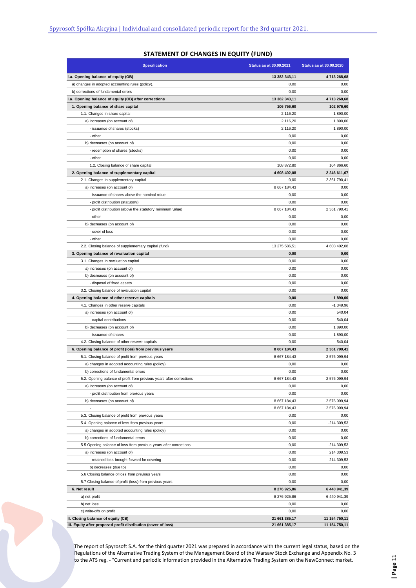|  | <b>STATEMENT OF CHANGES IN EQUITY (FUND)</b> |  |  |
|--|----------------------------------------------|--|--|
|--|----------------------------------------------|--|--|

| <b>Specification</b>                                                 | <b>Status as at 30.09.2021</b> | <b>Status as at 30.09.2020</b> |
|----------------------------------------------------------------------|--------------------------------|--------------------------------|
| I.a. Opening balance of equity (OB)                                  | 13 382 343,11                  | 4713 268,68                    |
| a) changes in adopted accounting rules (policy).                     | 0,00                           | 0,00                           |
| b) corrections of fundamental errors                                 | 0,00                           | 0,00                           |
| I.a. Opening balance of equity (OB) after corrections                | 13 382 343,11                  | 4713 268,68                    |
| 1. Opening balance of share capital                                  | 106 756,60                     | 102 976,60                     |
| 1.1. Changes in share capital                                        | 2 116,20                       | 1890,00                        |
| a) increases (on account of)                                         | 2 116,20                       | 1890,00                        |
| - issuance of shares (stocks)                                        | 2 116,20                       | 1890,00                        |
| - other                                                              | 0,00                           | 0,00                           |
| b) decreases (on account of)                                         | 0,00                           | 0,00                           |
| - redemption of shares (stocks)                                      | 0,00                           | 0,00                           |
| - other                                                              | 0,00                           | 0,00                           |
| 1.2. Closing balance of share capital                                | 108 872,80                     | 104 866,60                     |
| 2. Opening balance of supplementary capital                          | 4 608 402,08                   | 2 246 611,67                   |
| 2.1. Changes in supplementary capital                                | 0,00                           | 2 361 790,41                   |
| a) increases (on account of)                                         | 8 667 184,43                   | 0,00                           |
| - issuance of shares above the nominal value                         | 0,00                           | 0,00                           |
| - profit distribution (statutory)                                    | 0,00                           | 0,00                           |
| - profit distribution (above the statutory minimum value)            | 8 667 184,43                   | 2 361 790,41                   |
| - other                                                              | 0,00                           | 0,00                           |
| b) decreases (on account of)                                         | 0,00                           | 0,00                           |
| - cover of loss                                                      | 0,00                           | 0,00                           |
| - other                                                              | 0,00                           | 0,00                           |
| 2.2. Closing balance of supplementary capital (fund)                 | 13 275 586,51                  | 4 608 402,08                   |
| 3. Opening balance of revaluation capital                            | 0,00                           | 0,00                           |
| 3.1. Changes in revaluation capital                                  | 0,00                           | 0,00                           |
| a) increases (on account of)                                         | 0,00                           | 0,00                           |
| b) decreases (on account of)                                         | 0,00                           | 0,00                           |
| - disposal of fixed assets                                           | 0,00                           | 0,00                           |
| 3.2. Closing balance of revaluation capital                          | 0,00                           | 0,00                           |
| 4. Opening balance of other reserve capitals                         | 0,00                           | 1890,00                        |
| 4.1. Changes in other reserve capitals                               | 0,00                           | $-1349,96$                     |
| a) increases (on account of)                                         | 0,00                           | 540,04                         |
| - capital contributions                                              | 0,00                           | 540,04                         |
| b) decreases (on account of)                                         | 0,00                           | 1890,00                        |
| - issuance of shares                                                 | 0,00                           | 1890,00                        |
| 4.2. Closing balance of other reserve capitals                       | 0,00                           | 540,04                         |
| 6. Opening balance of profit (loss) from previous years              | 8 667 184,43                   | 2 361 790,41                   |
| 5.1. Closing balance of profit from previous years                   | 8 667 184,43                   | 2 576 099,94                   |
| a) changes in adopted accounting rules (policy).                     | 0,00                           | 0,00                           |
| b) corrections of fundamental errors                                 | 0,00                           | 0,00                           |
| 5.2. Opening balance of profit from previous years after corrections | 8 667 184,43                   | 2 576 099,94                   |
| a) increases (on account of)                                         | 0,00                           | 0,00                           |
| - profit distribution from previous years                            | 0,00                           | 0,00                           |
| b) decreases (on account of)                                         | 8 667 184,43                   | 2 576 099,94                   |
| $\overline{\phantom{a}}$                                             | 8 667 184,43                   | 2 576 099,94                   |
| 5,3. Closing balance of profit from previous years                   | 0,00                           | 0,00                           |
| 5.4. Opening balance of loss from previous years                     | 0,00                           | -214 309,53                    |
| a) changes in adopted accounting rules (policy).                     | 0,00                           | 0,00                           |
| b) corrections of fundamental errors                                 | 0,00                           | 0,00                           |
| 5.5 Opening balance of loss from previous years after corrections    | 0,00                           | -214 309,53                    |
| a) increases (on account of)                                         | 0,00                           | 214 309,53                     |
| - retained loss brought forward for covering                         | 0,00                           | 214 309,53                     |
| b) decreases (due to)                                                | 0,00                           | 0,00                           |
| 5.6 Closing balance of loss from previous years                      | 0,00                           | 0,00                           |
| 5.7 Closing balance of profit (loss) from previous years             | 0,00                           | 0,00                           |
| 6. Net result                                                        | 8 276 925,86                   | 6 440 941,39                   |
| a) net profit                                                        | 8 276 925,86                   | 6 440 941,39                   |
| b) net loss                                                          | 0,00                           | 0,00                           |
| c) write-offs on profit                                              | 0,00                           | 0,00                           |
| II. Closing balance of equity (CB)                                   | 21 661 385,17                  | 11 154 750,11                  |
| III. Equity after proposed profit distribution (cover of loss)       | 21 661 385,17                  | 11 154 750,11                  |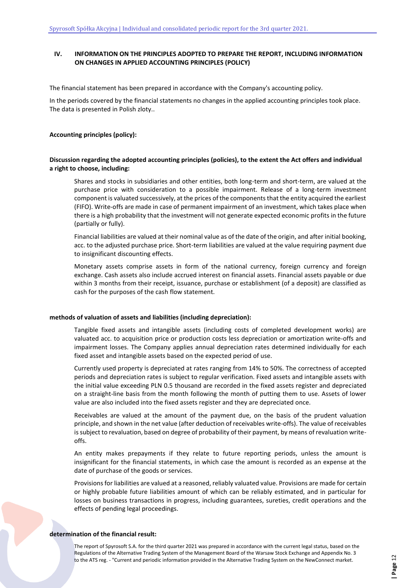# **IV. INFORMATION ON THE PRINCIPLES ADOPTED TO PREPARE THE REPORT, INCLUDING INFORMATION ON CHANGES IN APPLIED ACCOUNTING PRINCIPLES (POLICY)**

The financial statement has been prepared in accordance with the Company's accounting policy.

In the periods covered by the financial statements no changes in the applied accounting principles took place. The data is presented in Polish zloty..

### **Accounting principles (policy):**

### **Discussion regarding the adopted accounting principles (policies), to the extent the Act offers and individual a right to choose, including:**

Shares and stocks in subsidiaries and other entities, both long-term and short-term, are valued at the purchase price with consideration to a possible impairment. Release of a long-term investment component is valuated successively, at the prices of the components that the entity acquired the earliest (FIFO). Write-offs are made in case of permanent impairment of an investment, which takes place when there is a high probability that the investment will not generate expected economic profits in the future (partially or fully).

Financial liabilities are valued at their nominal value as of the date of the origin, and after initial booking, acc. to the adjusted purchase price. Short-term liabilities are valued at the value requiring payment due to insignificant discounting effects.

Monetary assets comprise assets in form of the national currency, foreign currency and foreign exchange. Cash assets also include accrued interest on financial assets. Financial assets payable or due within 3 months from their receipt, issuance, purchase or establishment (of a deposit) are classified as cash for the purposes of the cash flow statement.

### **methods of valuation of assets and liabilities (including depreciation):**

Tangible fixed assets and intangible assets (including costs of completed development works) are valuated acc. to acquisition price or production costs less depreciation or amortization write-offs and impairment losses. The Company applies annual depreciation rates determined individually for each fixed asset and intangible assets based on the expected period of use.

Currently used property is depreciated at rates ranging from 14% to 50%. The correctness of accepted periods and depreciation rates is subject to regular verification. Fixed assets and intangible assets with the initial value exceeding PLN 0.5 thousand are recorded in the fixed assets register and depreciated on a straight-line basis from the month following the month of putting them to use. Assets of lower value are also included into the fixed assets register and they are depreciated once.

Receivables are valued at the amount of the payment due, on the basis of the prudent valuation principle, and shown in the net value (after deduction of receivables write-offs). The value of receivables is subject to revaluation, based on degree of probability of their payment, by means of revaluation writeoffs.

An entity makes prepayments if they relate to future reporting periods, unless the amount is insignificant for the financial statements, in which case the amount is recorded as an expense at the date of purchase of the goods or services.

Provisions for liabilities are valued at a reasoned, reliably valuated value. Provisions are made for certain or highly probable future liabilities amount of which can be reliably estimated, and in particular for losses on business transactions in progress, including guarantees, sureties, credit operations and the effects of pending legal proceedings.

### **determination of the financial result:**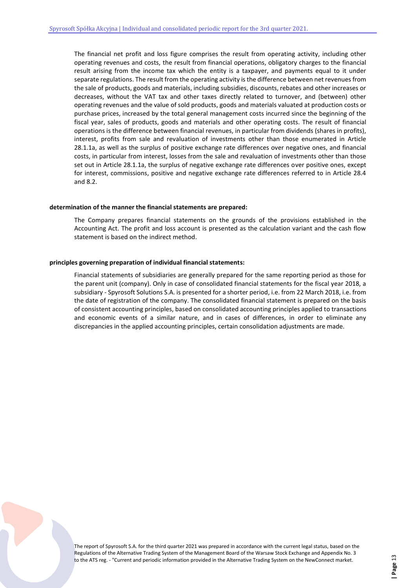The financial net profit and loss figure comprises the result from operating activity, including other operating revenues and costs, the result from financial operations, obligatory charges to the financial result arising from the income tax which the entity is a taxpayer, and payments equal to it under separate regulations. The result from the operating activity is the difference between net revenues from the sale of products, goods and materials, including subsidies, discounts, rebates and other increases or decreases, without the VAT tax and other taxes directly related to turnover, and (between) other operating revenues and the value of sold products, goods and materials valuated at production costs or purchase prices, increased by the total general management costs incurred since the beginning of the fiscal year, sales of products, goods and materials and other operating costs. The result of financial operations is the difference between financial revenues, in particular from dividends (shares in profits), interest, profits from sale and revaluation of investments other than those enumerated in Article 28.1.1a, as well as the surplus of positive exchange rate differences over negative ones, and financial costs, in particular from interest, losses from the sale and revaluation of investments other than those set out in Article 28.1.1a, the surplus of negative exchange rate differences over positive ones, except for interest, commissions, positive and negative exchange rate differences referred to in Article 28.4 and 8.2.

### **determination of the manner the financial statements are prepared:**

The Company prepares financial statements on the grounds of the provisions established in the Accounting Act. The profit and loss account is presented as the calculation variant and the cash flow statement is based on the indirect method.

### **principles governing preparation of individual financial statements:**

Financial statements of subsidiaries are generally prepared for the same reporting period as those for the parent unit (company). Only in case of consolidated financial statements for the fiscal year 2018, a subsidiary - Spyrosoft Solutions S.A. is presented for a shorter period, i.e. from 22 March 2018, i.e. from the date of registration of the company. The consolidated financial statement is prepared on the basis of consistent accounting principles, based on consolidated accounting principles applied to transactions and economic events of a similar nature, and in cases of differences, in order to eliminate any discrepancies in the applied accounting principles, certain consolidation adjustments are made.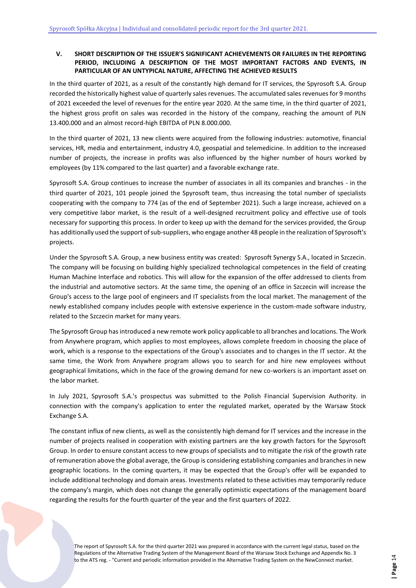# <span id="page-13-0"></span>**V. SHORT DESCRIPTION OF THE ISSUER'S SIGNIFICANT ACHIEVEMENTS OR FAILURES IN THE REPORTING PERIOD, INCLUDING A DESCRIPTION OF THE MOST IMPORTANT FACTORS AND EVENTS, IN PARTICULAR OF AN UNTYPICAL NATURE, AFFECTING THE ACHIEVED RESULTS**

In the third quarter of 2021, as a result of the constantly high demand for IT services, the Spyrosoft S.A. Group recorded the historically highest value of quarterly sales revenues. The accumulated sales revenues for 9 months of 2021 exceeded the level of revenues for the entire year 2020. At the same time, in the third quarter of 2021, the highest gross profit on sales was recorded in the history of the company, reaching the amount of PLN 13.400.000 and an almost record-high EBITDA of PLN 8.000.000.

In the third quarter of 2021, 13 new clients were acquired from the following industries: automotive, financial services, HR, media and entertainment, industry 4.0, geospatial and telemedicine. In addition to the increased number of projects, the increase in profits was also influenced by the higher number of hours worked by employees (by 11% compared to the last quarter) and a favorable exchange rate.

Spyrosoft S.A. Group continues to increase the number of associates in all its companies and branches - in the third quarter of 2021, 101 people joined the Spyrosoft team, thus increasing the total number of specialists cooperating with the company to 774 (as of the end of September 2021). Such a large increase, achieved on a very competitive labor market, is the result of a well-designed recruitment policy and effective use of tools necessary for supporting this process. In order to keep up with the demand for the services provided, the Group has additionally used the support of sub-suppliers, who engage another 48 people in the realization of Spyrosoft's projects.

Under the Spyrosoft S.A. Group, a new business entity was created: Spyrosoft Synergy S.A., located in Szczecin. The company will be focusing on building highly specialized technological competences in the field of creating Human Machine Interface and robotics. This will allow for the expansion of the offer addressed to clients from the industrial and automotive sectors. At the same time, the opening of an office in Szczecin will increase the Group's access to the large pool of engineers and IT specialists from the local market. The management of the newly established company includes people with extensive experience in the custom-made software industry, related to the Szczecin market for many years.

The Spyrosoft Group has introduced a new remote work policy applicable to all branches and locations. The Work from Anywhere program, which applies to most employees, allows complete freedom in choosing the place of work, which is a response to the expectations of the Group's associates and to changes in the IT sector. At the same time, the Work from Anywhere program allows you to search for and hire new employees without geographical limitations, which in the face of the growing demand for new co-workers is an important asset on the labor market.

In July 2021, Spyrosoft S.A.'s prospectus was submitted to the Polish Financial Supervision Authority. in connection with the company's application to enter the regulated market, operated by the Warsaw Stock Exchange S.A.

The constant influx of new clients, as well as the consistently high demand for IT services and the increase in the number of projects realised in cooperation with existing partners are the key growth factors for the Spyrosoft Group. In order to ensure constant access to new groups of specialists and to mitigate the risk of the growth rate of remuneration above the global average, the Group is considering establishing companies and branches in new geographic locations. In the coming quarters, it may be expected that the Group's offer will be expanded to include additional technology and domain areas. Investments related to these activities may temporarily reduce the company's margin, which does not change the generally optimistic expectations of the management board regarding the results for the fourth quarter of the year and the first quarters of 2022.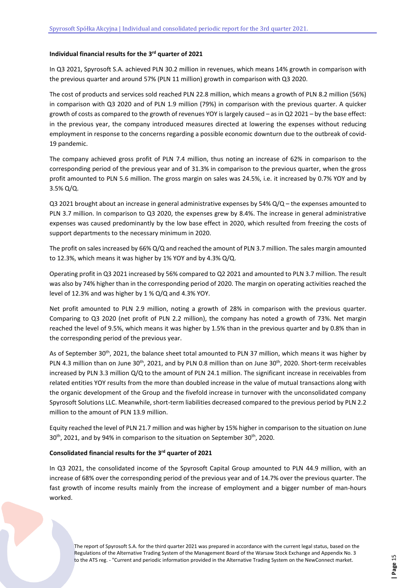# **Individual financial results for the 3 rd quarter of 2021**

In Q3 2021, Spyrosoft S.A. achieved PLN 30.2 million in revenues, which means 14% growth in comparison with the previous quarter and around 57% (PLN 11 million) growth in comparison with Q3 2020.

The cost of products and services sold reached PLN 22.8 million, which means a growth of PLN 8.2 million (56%) in comparison with Q3 2020 and of PLN 1.9 million (79%) in comparison with the previous quarter. A quicker growth of costs as compared to the growth of revenues YOY is largely caused – as in Q2 2021 – by the base effect: in the previous year, the company introduced measures directed at lowering the expenses without reducing employment in response to the concerns regarding a possible economic downturn due to the outbreak of covid-19 pandemic.

The company achieved gross profit of PLN 7.4 million, thus noting an increase of 62% in comparison to the corresponding period of the previous year and of 31.3% in comparison to the previous quarter, when the gross profit amounted to PLN 5.6 million. The gross margin on sales was 24.5%, i.e. it increased by 0.7% YOY and by 3.5% Q/Q.

Q3 2021 brought about an increase in general administrative expenses by 54% Q/Q – the expenses amounted to PLN 3.7 million. In comparison to Q3 2020, the expenses grew by 8.4%. The increase in general administrative expenses was caused predominantly by the low base effect in 2020, which resulted from freezing the costs of support departments to the necessary minimum in 2020.

The profit on sales increased by 66% Q/Q and reached the amount of PLN 3.7 million. The sales margin amounted to 12.3%, which means it was higher by 1% YOY and by 4.3% Q/Q.

Operating profit in Q3 2021 increased by 56% compared to Q2 2021 and amounted to PLN 3.7 million. The result was also by 74% higher than in the corresponding period of 2020. The margin on operating activities reached the level of 12.3% and was higher by 1 % Q/Q and 4.3% YOY.

Net profit amounted to PLN 2.9 million, noting a growth of 28% in comparison with the previous quarter. Comparing to Q3 2020 (net profit of PLN 2.2 million), the company has noted a growth of 73%. Net margin reached the level of 9.5%, which means it was higher by 1.5% than in the previous quarter and by 0.8% than in the corresponding period of the previous year.

As of September 30<sup>th</sup>, 2021, the balance sheet total amounted to PLN 37 million, which means it was higher by PLN 4.3 million than on June 30<sup>th</sup>, 2021, and by PLN 0.8 million than on June 30<sup>th</sup>, 2020. Short-term receivables increased by PLN 3.3 million Q/Q to the amount of PLN 24.1 million. The significant increase in receivables from related entities YOY results from the more than doubled increase in the value of mutual transactions along with the organic development of the Group and the fivefold increase in turnover with the unconsolidated company Spyrosoft Solutions LLC. Meanwhile, short-term liabilities decreased compared to the previous period by PLN 2.2 million to the amount of PLN 13.9 million.

Equity reached the level of PLN 21.7 million and was higher by 15% higher in comparison to the situation on June 30<sup>th</sup>, 2021, and by 94% in comparison to the situation on September 30<sup>th</sup>, 2020.

## **Consolidated financial results for the 3 rd quarter of 2021**

In Q3 2021, the consolidated income of the Spyrosoft Capital Group amounted to PLN 44.9 million, with an increase of 68% over the corresponding period of the previous year and of 14.7% over the previous quarter. The fast growth of income results mainly from the increase of employment and a bigger number of man-hours worked.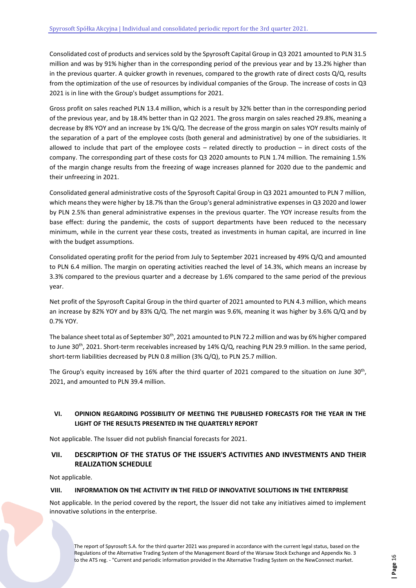Consolidated cost of products and services sold by the Spyrosoft Capital Group in Q3 2021 amounted to PLN 31.5 million and was by 91% higher than in the corresponding period of the previous year and by 13.2% higher than in the previous quarter. A quicker growth in revenues, compared to the growth rate of direct costs  $Q/Q$ , results from the optimization of the use of resources by individual companies of the Group. The increase of costs in Q3 2021 is in line with the Group's budget assumptions for 2021.

Gross profit on sales reached PLN 13.4 million, which is a result by 32% better than in the corresponding period of the previous year, and by 18.4% better than in Q2 2021. The gross margin on sales reached 29.8%, meaning a decrease by 8% YOY and an increase by 1% Q/Q. The decrease of the gross margin on sales YOY results mainly of the separation of a part of the employee costs (both general and administrative) by one of the subsidiaries. It allowed to include that part of the employee costs – related directly to production – in direct costs of the company. The corresponding part of these costs for Q3 2020 amounts to PLN 1.74 million. The remaining 1.5% of the margin change results from the freezing of wage increases planned for 2020 due to the pandemic and their unfreezing in 2021.

Consolidated general administrative costs of the Spyrosoft Capital Group in Q3 2021 amounted to PLN 7 million, which means they were higher by 18.7% than the Group's general administrative expenses in Q3 2020 and lower by PLN 2.5% than general administrative expenses in the previous quarter. The YOY increase results from the base effect: during the pandemic, the costs of support departments have been reduced to the necessary minimum, while in the current year these costs, treated as investments in human capital, are incurred in line with the budget assumptions.

Consolidated operating profit for the period from July to September 2021 increased by 49% Q/Q and amounted to PLN 6.4 million. The margin on operating activities reached the level of 14.3%, which means an increase by 3.3% compared to the previous quarter and a decrease by 1.6% compared to the same period of the previous year.

Net profit of the Spyrosoft Capital Group in the third quarter of 2021 amounted to PLN 4.3 million, which means an increase by 82% YOY and by 83% Q/Q. The net margin was 9.6%, meaning it was higher by 3.6% Q/Q and by 0.7% YOY.

The balance sheet total as of September 30<sup>th</sup>, 2021 amounted to PLN 72.2 million and was by 6% higher compared to June 30<sup>th</sup>, 2021. Short-term receivables increased by 14% Q/Q, reaching PLN 29.9 million. In the same period, short-term liabilities decreased by PLN 0.8 million (3% Q/Q), to PLN 25.7 million.

The Group's equity increased by 16% after the third quarter of 2021 compared to the situation on June 30<sup>th</sup>, 2021, and amounted to PLN 39.4 million.

# <span id="page-15-0"></span>**VI. OPINION REGARDING POSSIBILITY OF MEETING THE PUBLISHED FORECASTS FOR THE YEAR IN THE LIGHT OF THE RESULTS PRESENTED IN THE QUARTERLY REPORT**

Not applicable. The Issuer did not publish financial forecasts for 2021.

# <span id="page-15-1"></span>**VII. DESCRIPTION OF THE STATUS OF THE ISSUER'S ACTIVITIES AND INVESTMENTS AND THEIR REALIZATION SCHEDULE**

Not applicable.

## <span id="page-15-2"></span>**VIII. INFORMATION ON THE ACTIVITY IN THE FIELD OF INNOVATIVE SOLUTIONS IN THE ENTERPRISE**

Not applicable. In the period covered by the report, the Issuer did not take any initiatives aimed to implement innovative solutions in the enterprise.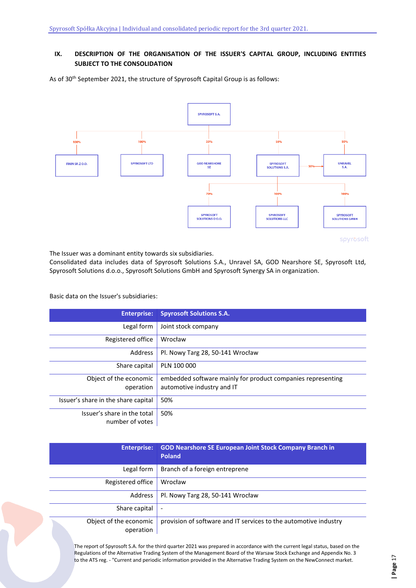# <span id="page-16-0"></span>**IX. DESCRIPTION OF THE ORGANISATION OF THE ISSUER'S CAPITAL GROUP, INCLUDING ENTITIES SUBJECT TO THE CONSOLIDATION**

As of 30<sup>th</sup> September 2021, the structure of Spyrosoft Capital Group is as follows:



The Issuer was a dominant entity towards six subsidiaries.

Consolidated data includes data of Spyrosoft Solutions S.A., Unravel SA, GOD Nearshore SE, Spyrosoft Ltd, Spyrosoft Solutions d.o.o., Spyrosoft Solutions GmbH and Spyrosoft Synergy SA in organization.

Basic data on the Issuer's subsidiaries:

| <b>Enterprise:</b>                  | <b>Spyrosoft Solutions S.A.</b>                             |
|-------------------------------------|-------------------------------------------------------------|
| Legal form                          | Joint stock company                                         |
| Registered office                   | Wrocław                                                     |
| Address                             | Pl. Nowy Targ 28, 50-141 Wrocław                            |
| Share capital                       | PLN 100 000                                                 |
| Object of the economic              | embedded software mainly for product companies representing |
| operation                           | automotive industry and IT                                  |
| Issuer's share in the share capital | 50%                                                         |
| Issuer's share in the total         | 50%                                                         |
| number of votes                     |                                                             |

| <b>Enterprise:</b>                  | <b>GOD Nearshore SE European Joint Stock Company Branch in</b><br><b>Poland</b> |
|-------------------------------------|---------------------------------------------------------------------------------|
| Legal form                          | Branch of a foreign entreprene                                                  |
| Registered office                   | Wrocław                                                                         |
| Address                             | Pl. Nowy Targ 28, 50-141 Wrocław                                                |
| Share capital                       | $\overline{\phantom{a}}$                                                        |
| Object of the economic<br>operation | provision of software and IT services to the automotive industry                |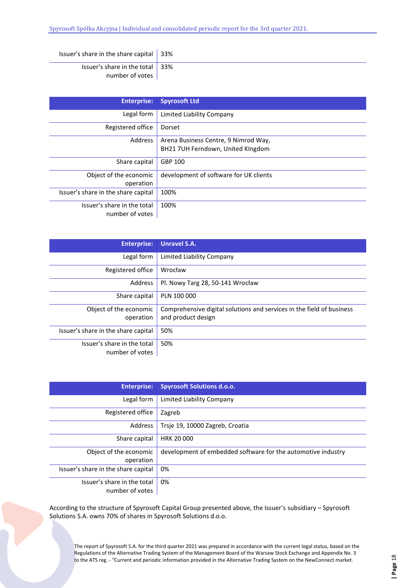| Issuer's share in the share capital $\vert$ 33%            |  |
|------------------------------------------------------------|--|
| Issuer's share in the total $\vert$ 33%<br>number of votes |  |

| <b>Enterprise:</b>                             | <b>Spyrosoft Ltd</b>                                                      |
|------------------------------------------------|---------------------------------------------------------------------------|
| Legal form                                     | Limited Liability Company                                                 |
| Registered office                              | Dorset                                                                    |
| Address                                        | Arena Business Centre, 9 Nimrod Way,<br>BH21 7UH Ferndown, United KIngdom |
| Share capital                                  | GBP 100                                                                   |
| Object of the economic<br>operation            | development of software for UK clients                                    |
| Issuer's share in the share capital            | 100%                                                                      |
| Issuer's share in the total<br>number of votes | 100%                                                                      |

| <b>Enterprise:</b>                             | <b>Unravel S.A.</b>                                                                         |
|------------------------------------------------|---------------------------------------------------------------------------------------------|
| Legal form                                     | Limited Liability Company                                                                   |
| Registered office                              | Wrocław                                                                                     |
| Address                                        | Pl. Nowy Targ 28, 50-141 Wrocław                                                            |
| Share capital                                  | PLN 100 000                                                                                 |
| Object of the economic<br>operation            | Comprehensive digital solutions and services in the field of business<br>and product design |
| Issuer's share in the share capital            | 50%                                                                                         |
| Issuer's share in the total<br>number of votes | 50%                                                                                         |

| <b>Enterprise:</b>                             | <b>Spyrosoft Solutions d.o.o.</b>                            |
|------------------------------------------------|--------------------------------------------------------------|
| Legal form                                     | Limited Liability Company                                    |
| Registered office                              | Zagreb                                                       |
| Address                                        | Trsje 19, 10000 Zagreb, Croatia                              |
| Share capital                                  | <b>HRK 20 000</b>                                            |
| Object of the economic<br>operation            | development of embedded software for the automotive industry |
| Issuer's share in the share capital            | 0%                                                           |
| Issuer's share in the total<br>number of votes | 0%                                                           |

According to the structure of Spyrosoft Capital Group presented above, the Issuer's subsidiary – Spyrosoft Solutions S.A. owns 70% of shares in Spyrosoft Solutions d.o.o.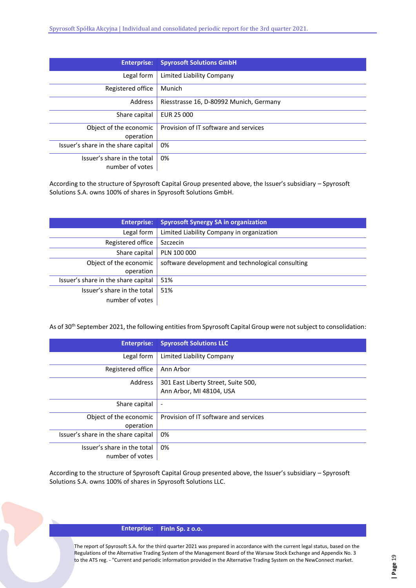| <b>Enterprise:</b>                  | <b>Spyrosoft Solutions GmbH</b>         |
|-------------------------------------|-----------------------------------------|
| Legal form                          | Limited Liability Company               |
| Registered office                   | Munich                                  |
| Address                             | Riesstrasse 16, D-80992 Munich, Germany |
| Share capital                       | EUR 25 000                              |
| Object of the economic              | Provision of IT software and services   |
| operation                           |                                         |
| Issuer's share in the share capital | 0%                                      |
| Issuer's share in the total         | 0%                                      |
| number of votes                     |                                         |

According to the structure of Spyrosoft Capital Group presented above, the Issuer's subsidiary – Spyrosoft Solutions S.A. owns 100% of shares in Spyrosoft Solutions GmbH.

| <b>Enterprise:</b>                  | <b>Spyrosoft Synergy SA in organization</b>       |
|-------------------------------------|---------------------------------------------------|
| Legal form                          | Limited Liability Company in organization         |
| Registered office                   | Szczecin                                          |
| Share capital                       | PLN 100 000                                       |
| Object of the economic              | software development and technological consulting |
| operation                           |                                                   |
| Issuer's share in the share capital | 51%                                               |
| Issuer's share in the total         | 51%                                               |
| number of votes                     |                                                   |

As of 30<sup>th</sup> September 2021, the following entities from Spyrosoft Capital Group were not subject to consolidation:

| <b>Enterprise:</b>                  | <b>Spyrosoft Solutions LLC</b>        |
|-------------------------------------|---------------------------------------|
| Legal form                          | Limited Liability Company             |
| Registered office                   | Ann Arbor                             |
| Address                             | 301 East Liberty Street, Suite 500,   |
|                                     | Ann Arbor, MI 48104, USA              |
| Share capital                       | $\overline{\phantom{a}}$              |
| Object of the economic              | Provision of IT software and services |
| operation                           |                                       |
| Issuer's share in the share capital | 0%                                    |
| Issuer's share in the total         | 0%                                    |
| number of votes                     |                                       |

According to the structure of Spyrosoft Capital Group presented above, the Issuer's subsidiary – Spyrosoft Solutions S.A. owns 100% of shares in Spyrosoft Solutions LLC.

## **Enterprise: FinIn Sp. z o.o.**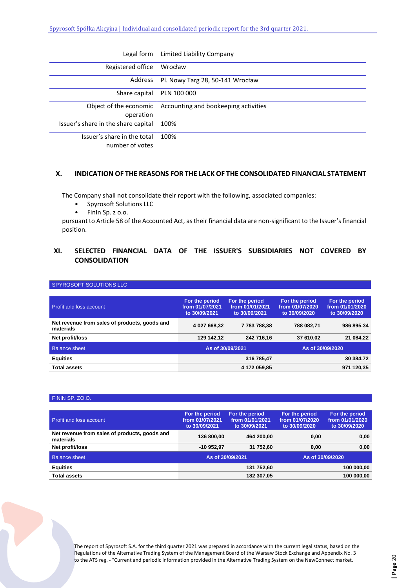| Legal form                          | Limited Liability Company            |
|-------------------------------------|--------------------------------------|
| Registered office                   | Wrocław                              |
| Address                             | Pl. Nowy Targ 28, 50-141 Wrocław     |
| Share capital                       | PLN 100 000                          |
| Object of the economic              | Accounting and bookeeping activities |
| operation                           |                                      |
| Issuer's share in the share capital | 100%                                 |
| Issuer's share in the total         | 100%                                 |
| number of votes                     |                                      |

# <span id="page-19-0"></span>**X. INDICATION OF THE REASONS FOR THE LACK OF THE CONSOLIDATED FINANCIAL STATEMENT**

The Company shall not consolidate their report with the following, associated companies:

- Spyrosoft Solutions LLC<br>• Finln Sp z o o
- FinIn Sp. z o.o.

pursuant to Article 58 of the Accounted Act, as their financial data are non-significant to the Issuer's financial position.

# <span id="page-19-1"></span>**XI. SELECTED FINANCIAL DATA OF THE ISSUER'S SUBSIDIARIES NOT COVERED BY CONSOLIDATION**

| SPYROSOFT SOLUTIONS LLC                                    |                                                    |                                                    |                                                    |                                                    |
|------------------------------------------------------------|----------------------------------------------------|----------------------------------------------------|----------------------------------------------------|----------------------------------------------------|
|                                                            |                                                    |                                                    |                                                    |                                                    |
| <b>Profit and loss account</b>                             | For the period<br>from 01/07/2021<br>to 30/09/2021 | For the period<br>from 01/01/2021<br>to 30/09/2021 | For the period<br>from 01/07/2020<br>to 30/09/2020 | For the period<br>from 01/01/2020<br>to 30/09/2020 |
| Net revenue from sales of products, goods and<br>materials | 4 027 668.32                                       | 7783788.38                                         | 788 082.71                                         | 986 895,34                                         |
| Net profit/loss                                            | 129 142,12                                         | 242 716,16                                         | 37 610.02                                          | 21 084.22                                          |
| <b>Balance sheet</b>                                       |                                                    | As of 30/09/2021                                   | As of 30/09/2020                                   |                                                    |
| <b>Equities</b>                                            |                                                    | 316 785,47                                         |                                                    | 30 384,72                                          |
| <b>Total assets</b>                                        |                                                    | 4 172 059,85                                       |                                                    | 971 120,35                                         |

### FININ SP. ZO.O.

| <b>Profit and loss account</b>                             | For the period<br>from 01/07/2021<br>to 30/09/2021 | For the period<br>from 01/01/2021<br>to 30/09/2021 | For the period<br>from 01/07/2020<br>to 30/09/2020 | For the period<br>from 01/01/2020<br>to 30/09/2020 |
|------------------------------------------------------------|----------------------------------------------------|----------------------------------------------------|----------------------------------------------------|----------------------------------------------------|
| Net revenue from sales of products, goods and<br>materials | 136 800,00                                         | 464 200.00                                         | 0.00                                               | 0,00                                               |
| Net profit/loss                                            | -10 952.97                                         | 31 752.60                                          | 0.00                                               | 0.00                                               |
| <b>Balance sheet</b>                                       |                                                    | As of 30/09/2021                                   | As of 30/09/2020                                   |                                                    |
| <b>Equities</b>                                            |                                                    | 131 752,60                                         |                                                    | 100 000,00                                         |
| <b>Total assets</b>                                        |                                                    | 182 307,05                                         |                                                    | 100 000.00                                         |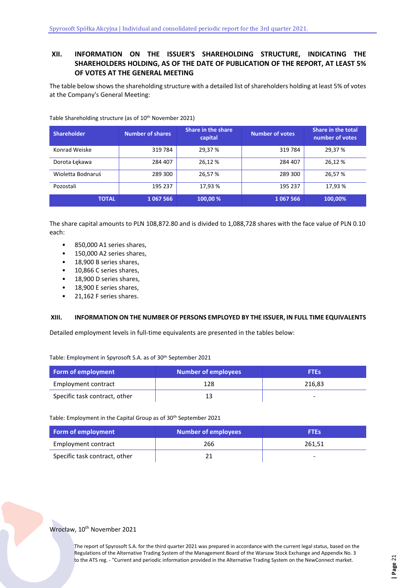# <span id="page-20-0"></span>**XII. INFORMATION ON THE ISSUER'S SHAREHOLDING STRUCTURE, INDICATING THE SHAREHOLDERS HOLDING, AS OF THE DATE OF PUBLICATION OF THE REPORT, AT LEAST 5% OF VOTES AT THE GENERAL MEETING**

The table below shows the shareholding structure with a detailed list of shareholders holding at least 5% of votes at the Company's General Meeting:

| <b>Shareholder</b> | <b>Number of shares</b> | Share in the share<br>capital | <b>Number of votes</b> | <b>Share in the total</b><br>number of votes |
|--------------------|-------------------------|-------------------------------|------------------------|----------------------------------------------|
| Konrad Weiske      | 319 784                 | 29,37 %                       | 319784                 | 29,37 %                                      |
| Dorota Łękawa      | 284 407                 | 26,12 %                       | 284 407                | 26,12 %                                      |
| Wioletta Bodnaruś  | 289 300                 | 26,57 %                       | 289 300                | 26.57 %                                      |
| Pozostali          | 195 237                 | 17.93 %                       | 195 237                | 17.93 %                                      |
| <b>TOTAL</b>       | 1067566                 | 100,00 %                      | 1067566                | 100,00%                                      |

Table Shareholding structure (as of 10th November 2021)

The share capital amounts to PLN 108,872.80 and is divided to 1,088,728 shares with the face value of PLN 0.10 each:

- 850,000 A1 series shares,
- 150,000 A2 series shares,
- 18,900 B series shares,
- 10,866 C series shares,
- 18,900 D series shares,
- 18,900 E series shares,
- 21,162 F series shares.

## <span id="page-20-1"></span>**XIII. INFORMATION ON THE NUMBER OF PERSONS EMPLOYED BY THE ISSUER, IN FULL TIME EQUIVALENTS**

Detailed employment levels in full-time equivalents are presented in the tables below:

Table: Employment in Spyrosoft S.A. as of 30th September 2021

| Form of employment            | Number of employees | <b>FTEs</b> |
|-------------------------------|---------------------|-------------|
| Employment contract           | 128                 | 216,83      |
| Specific task contract, other |                     | -           |

Table: Employment in the Capital Group as of 30th September 2021

| Form of employment            | Number of employees | <b>FTEs</b> |
|-------------------------------|---------------------|-------------|
| Employment contract           | 266                 | 261,51      |
| Specific task contract, other |                     | -           |

## Wrocław, 10<sup>th</sup> November 2021